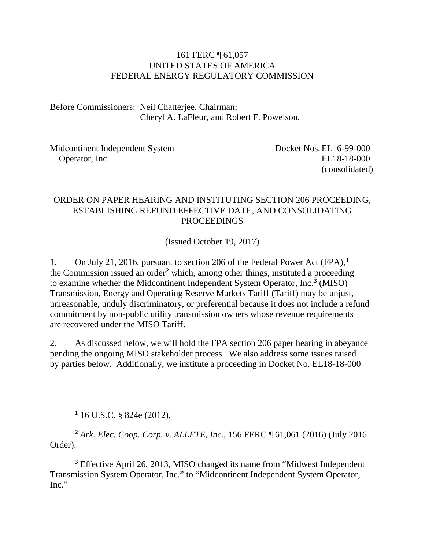#### 161 FERC ¶ 61,057 UNITED STATES OF AMERICA FEDERAL ENERGY REGULATORY COMMISSION

Before Commissioners: Neil Chatterjee, Chairman; Cheryl A. LaFleur, and Robert F. Powelson.

Midcontinent Independent System Operator, Inc.

 Docket Nos.EL16-99-000 EL18-18-000 (consolidated)

#### ORDER ON PAPER HEARING AND INSTITUTING SECTION 206 PROCEEDING, ESTABLISHING REFUND EFFECTIVE DATE, AND CONSOLIDATING PROCEEDINGS

(Issued October 19, 2017)

1. On July 21, 2016, pursuant to section 206 of the Federal Power Act (FPA),**[1](#page-0-0)** the Commission issued an order**[2](#page-0-1)** which, among other things, instituted a proceeding to examine whether the Midcontinent Independent System Operator, Inc.**[3](#page-0-2)** (MISO) Transmission, Energy and Operating Reserve Markets Tariff (Tariff) may be unjust, unreasonable, unduly discriminatory, or preferential because it does not include a refund commitment by non-public utility transmission owners whose revenue requirements are recovered under the MISO Tariff.

2. As discussed below, we will hold the FPA section 206 paper hearing in abeyance pending the ongoing MISO stakeholder process. We also address some issues raised by parties below. Additionally, we institute a proceeding in Docket No. EL18-18-000

**<sup>1</sup>** 16 U.S.C. § 824e (2012),

<span id="page-0-0"></span> $\overline{a}$ 

<span id="page-0-1"></span>**<sup>2</sup>** *Ark. Elec. Coop. Corp. v. ALLETE, Inc.*, 156 FERC ¶ 61,061 (2016) (July 2016 Order).

<span id="page-0-2"></span>**<sup>3</sup>** Effective April 26, 2013, MISO changed its name from "Midwest Independent Transmission System Operator, Inc." to "Midcontinent Independent System Operator, Inc."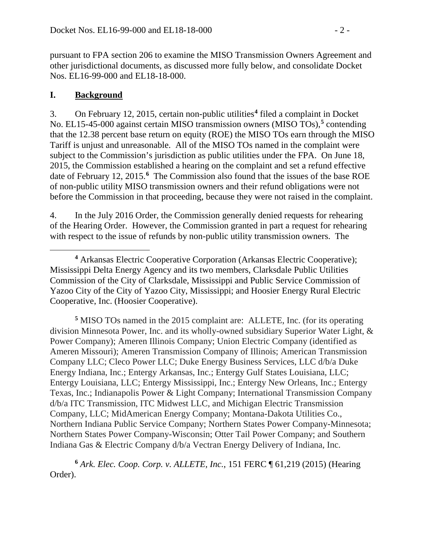pursuant to FPA section 206 to examine the MISO Transmission Owners Agreement and other jurisdictional documents, as discussed more fully below, and consolidate Docket Nos. EL16-99-000 and EL18-18-000.

#### **I. Background**

3. On February 12, 2015, certain non-public utilities**[4](#page-1-0)** filed a complaint in Docket No. EL15-45-000 against certain MISO transmission owners (MISO TOs), **[5](#page-1-1)** contending that the 12.38 percent base return on equity (ROE) the MISO TOs earn through the MISO Tariff is unjust and unreasonable. All of the MISO TOs named in the complaint were subject to the Commission's jurisdiction as public utilities under the FPA. On June 18, 2015, the Commission established a hearing on the complaint and set a refund effective date of February 12, 2015.**[6](#page-1-2)** The Commission also found that the issues of the base ROE of non-public utility MISO transmission owners and their refund obligations were not before the Commission in that proceeding, because they were not raised in the complaint.

4. In the July 2016 Order, the Commission generally denied requests for rehearing of the Hearing Order. However, the Commission granted in part a request for rehearing with respect to the issue of refunds by non-public utility transmission owners. The

<span id="page-1-1"></span>**<sup>5</sup>** MISO TOs named in the 2015 complaint are: ALLETE, Inc. (for its operating division Minnesota Power, Inc. and its wholly-owned subsidiary Superior Water Light, & Power Company); Ameren Illinois Company; Union Electric Company (identified as Ameren Missouri); Ameren Transmission Company of Illinois; American Transmission Company LLC; Cleco Power LLC; Duke Energy Business Services, LLC d/b/a Duke Energy Indiana, Inc.; Entergy Arkansas, Inc.; Entergy Gulf States Louisiana, LLC; Entergy Louisiana, LLC; Entergy Mississippi, Inc.; Entergy New Orleans, Inc.; Entergy Texas, Inc.; Indianapolis Power & Light Company; International Transmission Company d/b/a ITC Transmission, ITC Midwest LLC, and Michigan Electric Transmission Company, LLC; MidAmerican Energy Company; Montana-Dakota Utilities Co., Northern Indiana Public Service Company; Northern States Power Company-Minnesota; Northern States Power Company-Wisconsin; Otter Tail Power Company; and Southern Indiana Gas & Electric Company d/b/a Vectran Energy Delivery of Indiana, Inc.

<span id="page-1-2"></span>**<sup>6</sup>** *Ark. Elec. Coop. Corp. v. ALLETE, Inc.*, 151 FERC ¶ 61,219 (2015) (Hearing Order).

<span id="page-1-0"></span> $\overline{a}$ **<sup>4</sup>** Arkansas Electric Cooperative Corporation (Arkansas Electric Cooperative); Mississippi Delta Energy Agency and its two members, Clarksdale Public Utilities Commission of the City of Clarksdale, Mississippi and Public Service Commission of Yazoo City of the City of Yazoo City, Mississippi; and Hoosier Energy Rural Electric Cooperative, Inc. (Hoosier Cooperative).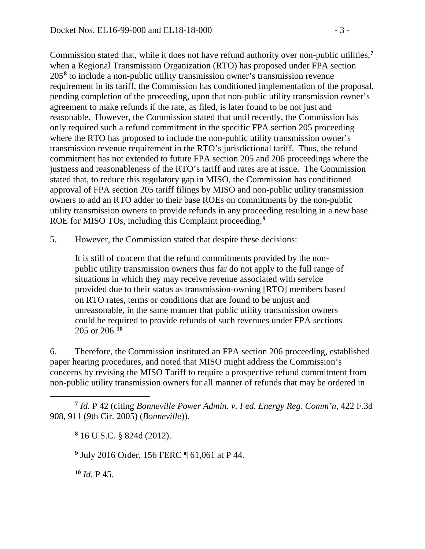Commission stated that, while it does not have refund authority over non-public utilities, **[7](#page-2-0)** when a Regional Transmission Organization (RTO) has proposed under FPA section 205**[8](#page-2-1)** to include a non-public utility transmission owner's transmission revenue requirement in its tariff, the Commission has conditioned implementation of the proposal, pending completion of the proceeding, upon that non-public utility transmission owner's agreement to make refunds if the rate, as filed, is later found to be not just and reasonable. However, the Commission stated that until recently, the Commission has only required such a refund commitment in the specific FPA section 205 proceeding where the RTO has proposed to include the non-public utility transmission owner's transmission revenue requirement in the RTO's jurisdictional tariff. Thus, the refund commitment has not extended to future FPA section 205 and 206 proceedings where the justness and reasonableness of the RTO's tariff and rates are at issue. The Commission stated that, to reduce this regulatory gap in MISO, the Commission has conditioned approval of FPA section 205 tariff filings by MISO and non-public utility transmission owners to add an RTO adder to their base ROEs on commitments by the non-public utility transmission owners to provide refunds in any proceeding resulting in a new base ROE for MISO TOs, including this Complaint proceeding.**[9](#page-2-2)**

5. However, the Commission stated that despite these decisions:

It is still of concern that the refund commitments provided by the nonpublic utility transmission owners thus far do not apply to the full range of situations in which they may receive revenue associated with service provided due to their status as transmission-owning [RTO] members based on RTO rates, terms or conditions that are found to be unjust and unreasonable, in the same manner that public utility transmission owners could be required to provide refunds of such revenues under FPA sections 205 or 206.**[10](#page-2-3)**

6. Therefore, the Commission instituted an FPA section 206 proceeding, established paper hearing procedures, and noted that MISO might address the Commission's concerns by revising the MISO Tariff to require a prospective refund commitment from non-public utility transmission owners for all manner of refunds that may be ordered in

<span id="page-2-2"></span><span id="page-2-1"></span><span id="page-2-0"></span>**<sup>7</sup>** *Id.* P 42 (citing *Bonneville Power Admin. v. Fed. Energy Reg. Comm'n*, 422 F.3d 908, 911 (9th Cir. 2005) (*Bonneville*)).

**<sup>8</sup>** 16 U.S.C. § 824d (2012).

**<sup>9</sup>** July 2016 Order, 156 FERC ¶ 61,061 at P 44.

<span id="page-2-3"></span>**<sup>10</sup>** *Id.* P 45.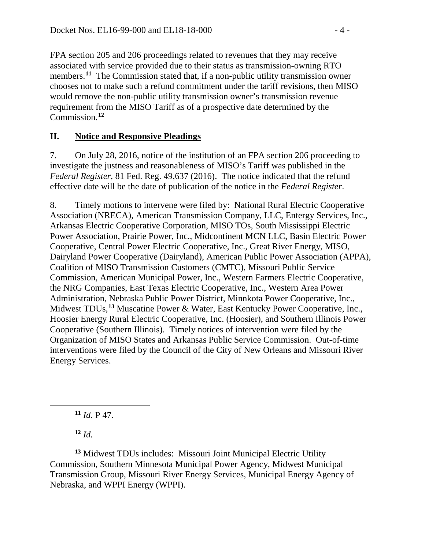FPA section 205 and 206 proceedings related to revenues that they may receive associated with service provided due to their status as transmission-owning RTO members.<sup>[11](#page-3-0)</sup> The Commission stated that, if a non-public utility transmission owner chooses not to make such a refund commitment under the tariff revisions, then MISO would remove the non-public utility transmission owner's transmission revenue requirement from the MISO Tariff as of a prospective date determined by the Commission.**[12](#page-3-1)**

### **II. Notice and Responsive Pleadings**

7. On July 28, 2016, notice of the institution of an FPA section 206 proceeding to investigate the justness and reasonableness of MISO's Tariff was published in the *Federal Register*, 81 Fed. Reg. 49,637 (2016). The notice indicated that the refund effective date will be the date of publication of the notice in the *Federal Register*.

8. Timely motions to intervene were filed by: National Rural Electric Cooperative Association (NRECA), American Transmission Company, LLC, Entergy Services, Inc., Arkansas Electric Cooperative Corporation, MISO TOs, South Mississippi Electric Power Association, Prairie Power, Inc., Midcontinent MCN LLC, Basin Electric Power Cooperative, Central Power Electric Cooperative, Inc., Great River Energy, MISO, Dairyland Power Cooperative (Dairyland), American Public Power Association (APPA), Coalition of MISO Transmission Customers (CMTC), Missouri Public Service Commission, American Municipal Power, Inc., Western Farmers Electric Cooperative, the NRG Companies, East Texas Electric Cooperative, Inc., Western Area Power Administration, Nebraska Public Power District, Minnkota Power Cooperative, Inc., Midwest TDUs, **[13](#page-3-2)** Muscatine Power & Water, East Kentucky Power Cooperative, Inc., Hoosier Energy Rural Electric Cooperative, Inc. (Hoosier), and Southern Illinois Power Cooperative (Southern Illinois). Timely notices of intervention were filed by the Organization of MISO States and Arkansas Public Service Commission. Out-of-time interventions were filed by the Council of the City of New Orleans and Missouri River Energy Services.

**<sup>11</sup>** *Id.* P 47.

**<sup>12</sup>** *Id.*

<span id="page-3-0"></span> $\overline{a}$ 

<span id="page-3-2"></span><span id="page-3-1"></span>**<sup>13</sup>** Midwest TDUs includes: Missouri Joint Municipal Electric Utility Commission, Southern Minnesota Municipal Power Agency, Midwest Municipal Transmission Group, Missouri River Energy Services, Municipal Energy Agency of Nebraska, and WPPI Energy (WPPI).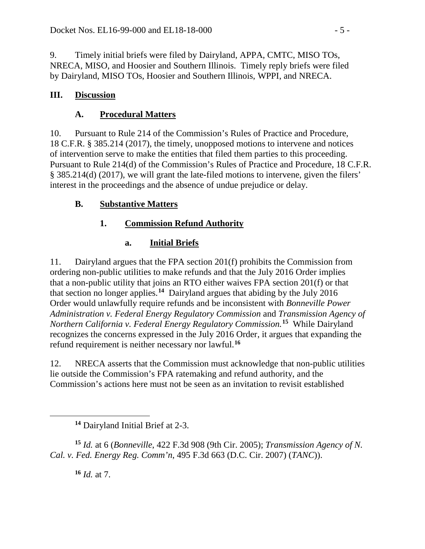9. Timely initial briefs were filed by Dairyland, APPA, CMTC, MISO TOs, NRECA, MISO, and Hoosier and Southern Illinois. Timely reply briefs were filed by Dairyland, MISO TOs, Hoosier and Southern Illinois, WPPI, and NRECA.

### **III. Discussion**

## **A. Procedural Matters**

10. Pursuant to Rule 214 of the Commission's Rules of Practice and Procedure, 18 C.F.R. § 385.214 (2017), the timely, unopposed motions to intervene and notices of intervention serve to make the entities that filed them parties to this proceeding. Pursuant to Rule 214(d) of the Commission's Rules of Practice and Procedure, 18 C.F.R. § 385.214(d) (2017), we will grant the late-filed motions to intervene, given the filers' interest in the proceedings and the absence of undue prejudice or delay.

## **B. Substantive Matters**

# **1. Commission Refund Authority**

# **a. Initial Briefs**

11. Dairyland argues that the FPA section 201(f) prohibits the Commission from ordering non-public utilities to make refunds and that the July 2016 Order implies that a non-public utility that joins an RTO either waives FPA section 201(f) or that that section no longer applies.**[14](#page-4-0)** Dairyland argues that abiding by the July 2016 Order would unlawfully require refunds and be inconsistent with *Bonneville Power Administration v. Federal Energy Regulatory Commission* and *Transmission Agency of Northern California v. Federal Energy Regulatory Commission.* **[15](#page-4-1)** While Dairyland recognizes the concerns expressed in the July 2016 Order, it argues that expanding the refund requirement is neither necessary nor lawful.**[16](#page-4-2)**

12. NRECA asserts that the Commission must acknowledge that non-public utilities lie outside the Commission's FPA ratemaking and refund authority, and the Commission's actions here must not be seen as an invitation to revisit established

<span id="page-4-2"></span><span id="page-4-1"></span><span id="page-4-0"></span>**<sup>15</sup>** *Id.* at 6 (*Bonneville*, 422 F.3d 908 (9th Cir. 2005); *Transmission Agency of N. Cal. v. Fed. Energy Reg. Comm'n*, 495 F.3d 663 (D.C. Cir. 2007) (*TANC*)).

**<sup>16</sup>** *Id.* at 7.

**<sup>14</sup>** Dairyland Initial Brief at 2-3.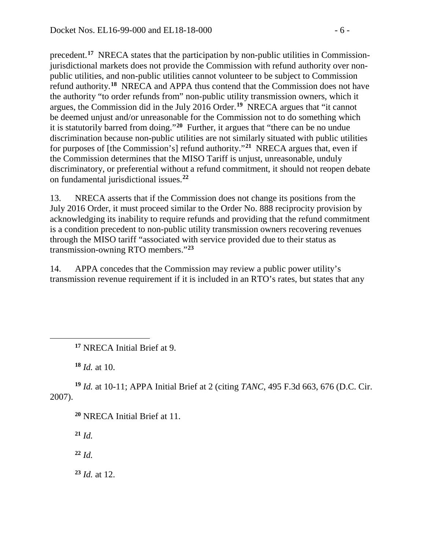precedent.**[17](#page-5-0)** NRECA states that the participation by non-public utilities in Commissionjurisdictional markets does not provide the Commission with refund authority over nonpublic utilities, and non-public utilities cannot volunteer to be subject to Commission refund authority.**[18](#page-5-1)** NRECA and APPA thus contend that the Commission does not have the authority "to order refunds from" non-public utility transmission owners, which it argues, the Commission did in the July 2016 Order. **[19](#page-5-2)** NRECA argues that "it cannot be deemed unjust and/or unreasonable for the Commission not to do something which it is statutorily barred from doing."**[20](#page-5-3)** Further, it argues that "there can be no undue discrimination because non-public utilities are not similarly situated with public utilities for purposes of [the Commission's] refund authority."**[21](#page-5-4)** NRECA argues that, even if the Commission determines that the MISO Tariff is unjust, unreasonable, unduly discriminatory, or preferential without a refund commitment, it should not reopen debate on fundamental jurisdictional issues.**[22](#page-5-5)**

13. NRECA asserts that if the Commission does not change its positions from the July 2016 Order, it must proceed similar to the Order No. 888 reciprocity provision by acknowledging its inability to require refunds and providing that the refund commitment is a condition precedent to non-public utility transmission owners recovering revenues through the MISO tariff "associated with service provided due to their status as transmission-owning RTO members."**[23](#page-5-6)**

14. APPA concedes that the Commission may review a public power utility's transmission revenue requirement if it is included in an RTO's rates, but states that any

**<sup>18</sup>** *Id.* at 10.

<span id="page-5-0"></span> $\overline{a}$ 

<span id="page-5-4"></span><span id="page-5-3"></span><span id="page-5-2"></span><span id="page-5-1"></span>**<sup>19</sup>** *Id.* at 10-11; APPA Initial Brief at 2 (citing *TANC*, 495 F.3d 663, 676 (D.C. Cir. 2007).

**<sup>20</sup>** NRECA Initial Brief at 11.

**<sup>21</sup>** *Id.*

<span id="page-5-5"></span>**<sup>22</sup>** *Id.*

<span id="page-5-6"></span>**<sup>23</sup>** *Id.* at 12.

**<sup>17</sup>** NRECA Initial Brief at 9.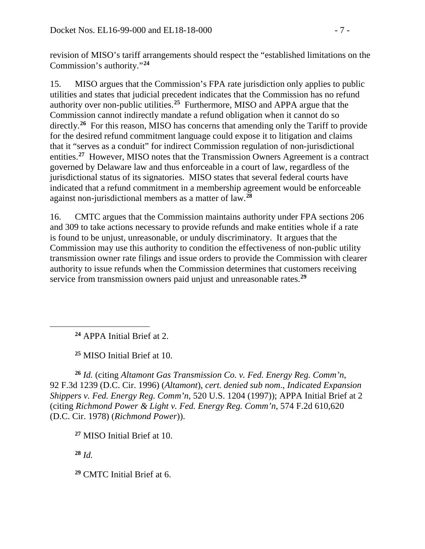revision of MISO's tariff arrangements should respect the "established limitations on the Commission's authority."**[24](#page-6-0)**

15. MISO argues that the Commission's FPA rate jurisdiction only applies to public utilities and states that judicial precedent indicates that the Commission has no refund authority over non-public utilities.**[25](#page-6-1)** Furthermore, MISO and APPA argue that the Commission cannot indirectly mandate a refund obligation when it cannot do so directly.<sup>[26](#page-6-2)</sup> For this reason, MISO has concerns that amending only the Tariff to provide for the desired refund commitment language could expose it to litigation and claims that it "serves as a conduit" for indirect Commission regulation of non-jurisdictional entities.**[27](#page-6-3)** However, MISO notes that the Transmission Owners Agreement is a contract governed by Delaware law and thus enforceable in a court of law, regardless of the jurisdictional status of its signatories. MISO states that several federal courts have indicated that a refund commitment in a membership agreement would be enforceable against non-jurisdictional members as a matter of law.**[28](#page-6-4)**

16. CMTC argues that the Commission maintains authority under FPA sections 206 and 309 to take actions necessary to provide refunds and make entities whole if a rate is found to be unjust, unreasonable, or unduly discriminatory. It argues that the Commission may use this authority to condition the effectiveness of non-public utility transmission owner rate filings and issue orders to provide the Commission with clearer authority to issue refunds when the Commission determines that customers receiving service from transmission owners paid unjust and unreasonable rates.**[29](#page-6-5)**

**<sup>24</sup>** APPA Initial Brief at 2.

**<sup>25</sup>** MISO Initial Brief at 10.

<span id="page-6-2"></span><span id="page-6-1"></span>**<sup>26</sup>** *Id.* (citing *Altamont Gas Transmission Co. v. Fed. Energy Reg. Comm'n*, 92 F.3d 1239 (D.C. Cir. 1996) (*Altamont*), *cert. denied sub nom*., *Indicated Expansion Shippers v. Fed. Energy Reg. Comm'n*, 520 U.S. 1204 (1997)); APPA Initial Brief at 2 (citing *Richmond Power & Light v. Fed. Energy Reg. Comm'n*, 574 F.2d 610,620 (D.C. Cir. 1978) (*Richmond Power*)).

<span id="page-6-3"></span>**<sup>27</sup>** MISO Initial Brief at 10.

<span id="page-6-4"></span>**<sup>28</sup>** *Id.*

<span id="page-6-0"></span> $\overline{a}$ 

<span id="page-6-5"></span>**<sup>29</sup>** CMTC Initial Brief at 6.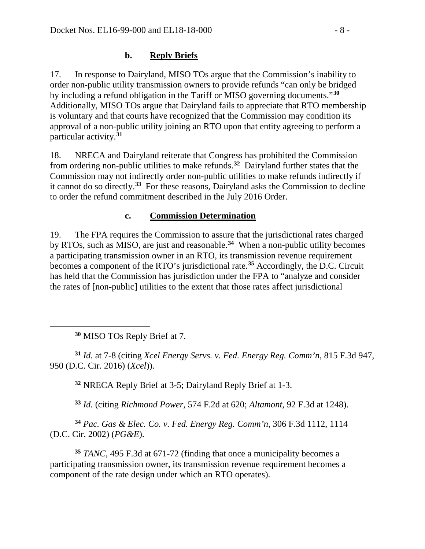#### **b. Reply Briefs**

17. In response to Dairyland, MISO TOs argue that the Commission's inability to order non-public utility transmission owners to provide refunds "can only be bridged by including a refund obligation in the Tariff or MISO governing documents."**[30](#page-7-0)** Additionally, MISO TOs argue that Dairyland fails to appreciate that RTO membership is voluntary and that courts have recognized that the Commission may condition its approval of a non-public utility joining an RTO upon that entity agreeing to perform a particular activity.**[31](#page-7-1)**

18. NRECA and Dairyland reiterate that Congress has prohibited the Commission from ordering non-public utilities to make refunds. **[32](#page-7-2)** Dairyland further states that the Commission may not indirectly order non-public utilities to make refunds indirectly if it cannot do so directly.**[33](#page-7-3)** For these reasons, Dairyland asks the Commission to decline to order the refund commitment described in the July 2016 Order.

#### **c. Commission Determination**

19. The FPA requires the Commission to assure that the jurisdictional rates charged by RTOs, such as MISO, are just and reasonable.**[34](#page-7-4)** When a non-public utility becomes a participating transmission owner in an RTO, its transmission revenue requirement becomes a component of the RTO's jurisdictional rate.**[35](#page-7-5)** Accordingly, the D.C. Circuit has held that the Commission has jurisdiction under the FPA to "analyze and consider the rates of [non-public] utilities to the extent that those rates affect jurisdictional

**<sup>30</sup>** MISO TOs Reply Brief at 7.

<span id="page-7-0"></span> $\overline{a}$ 

<span id="page-7-2"></span><span id="page-7-1"></span>**<sup>31</sup>** *Id.* at 7-8 (citing *Xcel Energy Servs. v. Fed. Energy Reg. Comm'n*, 815 F.3d 947, 950 (D.C. Cir. 2016) (*Xcel*)).

**<sup>32</sup>** NRECA Reply Brief at 3-5; Dairyland Reply Brief at 1-3.

**<sup>33</sup>** *Id.* (citing *Richmond Power*, 574 F.2d at 620; *Altamont*, 92 F.3d at 1248).

<span id="page-7-4"></span><span id="page-7-3"></span>**<sup>34</sup>** *Pac. Gas & Elec. Co. v. Fed. Energy Reg. Comm'n*, 306 F.3d 1112, 1114 (D.C. Cir. 2002) (*PG&E*).

<span id="page-7-5"></span>**<sup>35</sup>** *TANC*, 495 F.3d at 671-72 (finding that once a municipality becomes a participating transmission owner, its transmission revenue requirement becomes a component of the rate design under which an RTO operates).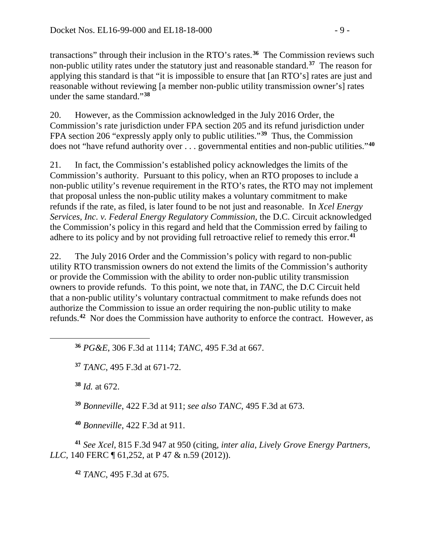transactions" through their inclusion in the RTO's rates. **[36](#page-8-0)** The Commission reviews such non-public utility rates under the statutory just and reasonable standard.**[37](#page-8-1)** The reason for applying this standard is that "it is impossible to ensure that [an RTO's] rates are just and reasonable without reviewing [a member non-public utility transmission owner's] rates under the same standard."**[38](#page-8-2)**

20. However, as the Commission acknowledged in the July 2016 Order, the Commission's rate jurisdiction under FPA section 205 and its refund jurisdiction under FPA section 206 "expressly apply only to public utilities."**[39](#page-8-3)** Thus, the Commission does not "have refund authority over . . . governmental entities and non-public utilities."**[40](#page-8-4)**

21. In fact, the Commission's established policy acknowledges the limits of the Commission's authority. Pursuant to this policy, when an RTO proposes to include a non-public utility's revenue requirement in the RTO's rates, the RTO may not implement that proposal unless the non-public utility makes a voluntary commitment to make refunds if the rate, as filed, is later found to be not just and reasonable. In *Xcel Energy Services, Inc. v. Federal Energy Regulatory Commission*, the D.C. Circuit acknowledged the Commission's policy in this regard and held that the Commission erred by failing to adhere to its policy and by not providing full retroactive relief to remedy this error.**[41](#page-8-5)**

22. The July 2016 Order and the Commission's policy with regard to non-public utility RTO transmission owners do not extend the limits of the Commission's authority or provide the Commission with the ability to order non-public utility transmission owners to provide refunds. To this point, we note that, in *TANC*, the D.C Circuit held that a non-public utility's voluntary contractual commitment to make refunds does not authorize the Commission to issue an order requiring the non-public utility to make refunds.**[42](#page-8-6)** Nor does the Commission have authority to enforce the contract. However, as

**<sup>36</sup>** *PG&E*, 306 F.3d at 1114; *TANC*, 495 F.3d at 667.

**<sup>37</sup>** *TANC*, 495 F.3d at 671-72.

**<sup>38</sup>** *Id.* at 672.

<span id="page-8-2"></span><span id="page-8-1"></span><span id="page-8-0"></span> $\overline{a}$ 

**<sup>39</sup>** *Bonneville*, 422 F.3d at 911; *see also TANC*, 495 F.3d at 673.

**<sup>40</sup>** *Bonneville*, 422 F.3d at 911.

<span id="page-8-6"></span><span id="page-8-5"></span><span id="page-8-4"></span><span id="page-8-3"></span>**<sup>41</sup>** *See Xcel*, 815 F.3d 947 at 950 (citing, *inter alia*, *Lively Grove Energy Partners, LLC*, 140 FERC ¶ 61,252, at P 47 & n.59 (2012)).

**<sup>42</sup>** *TANC*, 495 F.3d at 675.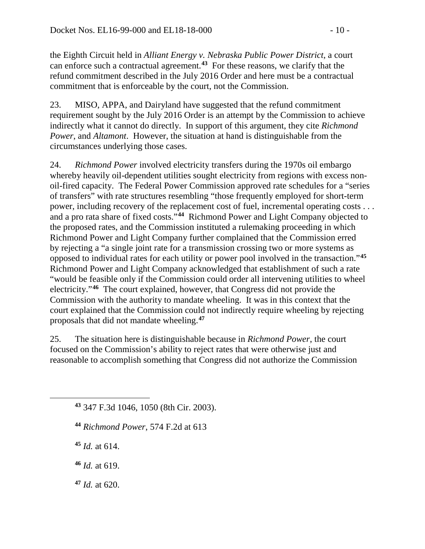the Eighth Circuit held in *Alliant Energy v. Nebraska Public Power District*, a court can enforce such a contractual agreement.**[43](#page-9-0)** For these reasons, we clarify that the refund commitment described in the July 2016 Order and here must be a contractual commitment that is enforceable by the court, not the Commission.

23. MISO, APPA, and Dairyland have suggested that the refund commitment requirement sought by the July 2016 Order is an attempt by the Commission to achieve indirectly what it cannot do directly. In support of this argument, they cite *Richmond Power*, and *Altamont*. However, the situation at hand is distinguishable from the circumstances underlying those cases.

24. *Richmond Power* involved electricity transfers during the 1970s oil embargo whereby heavily oil-dependent utilities sought electricity from regions with excess nonoil-fired capacity. The Federal Power Commission approved rate schedules for a "series of transfers" with rate structures resembling "those frequently employed for short-term power, including recovery of the replacement cost of fuel, incremental operating costs . . . and a pro rata share of fixed costs."**[44](#page-9-1)** Richmond Power and Light Company objected to the proposed rates, and the Commission instituted a rulemaking proceeding in which Richmond Power and Light Company further complained that the Commission erred by rejecting a "a single joint rate for a transmission crossing two or more systems as opposed to individual rates for each utility or power pool involved in the transaction."**[45](#page-9-2)** Richmond Power and Light Company acknowledged that establishment of such a rate "would be feasible only if the Commission could order all intervening utilities to wheel electricity."**[46](#page-9-3)** The court explained, however, that Congress did not provide the Commission with the authority to mandate wheeling. It was in this context that the court explained that the Commission could not indirectly require wheeling by rejecting proposals that did not mandate wheeling.**[47](#page-9-4)**

25. The situation here is distinguishable because in *Richmond Power*, the court focused on the Commission's ability to reject rates that were otherwise just and reasonable to accomplish something that Congress did not authorize the Commission

**<sup>44</sup>** *Richmond Power*, 574 F.2d at 613

**<sup>45</sup>** *Id.* at 614.

<span id="page-9-2"></span><span id="page-9-1"></span><span id="page-9-0"></span> $\overline{a}$ 

<span id="page-9-3"></span>**<sup>46</sup>** *Id.* at 619.

<span id="page-9-4"></span>**<sup>47</sup>** *Id.* at 620.

**<sup>43</sup>** 347 F.3d 1046, 1050 (8th Cir. 2003).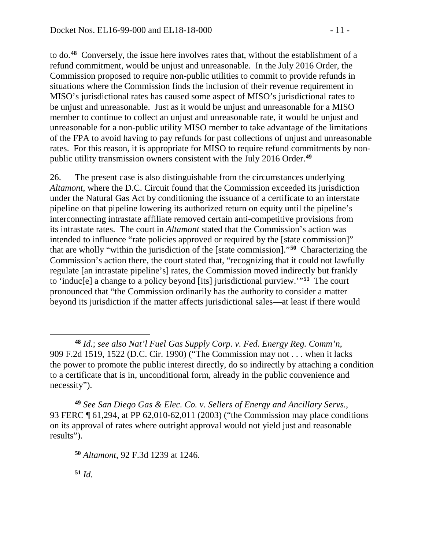to do.**[48](#page-10-0)** Conversely, the issue here involves rates that, without the establishment of a refund commitment, would be unjust and unreasonable. In the July 2016 Order, the Commission proposed to require non-public utilities to commit to provide refunds in situations where the Commission finds the inclusion of their revenue requirement in MISO's jurisdictional rates has caused some aspect of MISO's jurisdictional rates to be unjust and unreasonable. Just as it would be unjust and unreasonable for a MISO member to continue to collect an unjust and unreasonable rate, it would be unjust and unreasonable for a non-public utility MISO member to take advantage of the limitations of the FPA to avoid having to pay refunds for past collections of unjust and unreasonable rates. For this reason, it is appropriate for MISO to require refund commitments by nonpublic utility transmission owners consistent with the July 2016 Order. **[49](#page-10-1)**

26. The present case is also distinguishable from the circumstances underlying *Altamont*, where the D.C. Circuit found that the Commission exceeded its jurisdiction under the Natural Gas Act by conditioning the issuance of a certificate to an interstate pipeline on that pipeline lowering its authorized return on equity until the pipeline's interconnecting intrastate affiliate removed certain anti-competitive provisions from its intrastate rates. The court in *Altamont* stated that the Commission's action was intended to influence "rate policies approved or required by the [state commission]" that are wholly "within the jurisdiction of the [state commission]."**[50](#page-10-2)** Characterizing the Commission's action there, the court stated that, "recognizing that it could not lawfully regulate [an intrastate pipeline's] rates, the Commission moved indirectly but frankly to 'induc[e] a change to a policy beyond [its] jurisdictional purview.'"**[51](#page-10-3)** The court pronounced that "the Commission ordinarily has the authority to consider a matter beyond its jurisdiction if the matter affects jurisdictional sales—at least if there would

<span id="page-10-2"></span><span id="page-10-1"></span>**<sup>49</sup>** *See San Diego Gas & Elec. Co. v. Sellers of Energy and Ancillary Servs.*, 93 FERC ¶ 61,294, at PP 62,010-62,011 (2003) ("the Commission may place conditions on its approval of rates where outright approval would not yield just and reasonable results").

<span id="page-10-3"></span>**<sup>51</sup>** *Id.*

<span id="page-10-0"></span>**<sup>48</sup>** *Id.*; *see also Nat'l Fuel Gas Supply Corp. v. Fed. Energy Reg. Comm'n*, 909 F.2d 1519, 1522 (D.C. Cir. 1990) ("The Commission may not . . . when it lacks the power to promote the public interest directly, do so indirectly by attaching a condition to a certificate that is in, unconditional form, already in the public convenience and necessity").

**<sup>50</sup>** *Altamont*, 92 F.3d 1239 at 1246.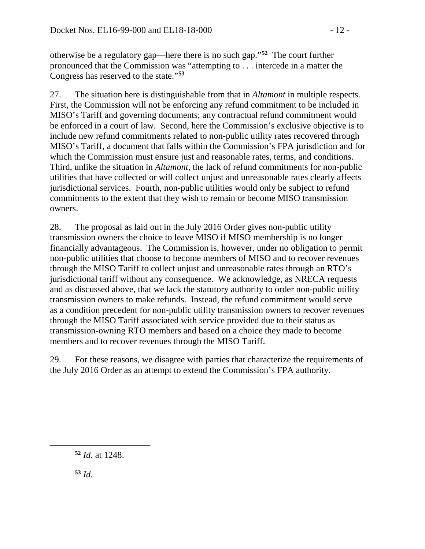otherwise be a regulatory gap—here there is no such gap."**[52](#page-11-0)** The court further pronounced that the Commission was "attempting to . . . intercede in a matter the Congress has reserved to the state."**[53](#page-11-1)**

27. The situation here is distinguishable from that in *Altamont* in multiple respects. First, the Commission will not be enforcing any refund commitment to be included in MISO's Tariff and governing documents; any contractual refund commitment would be enforced in a court of law. Second, here the Commission's exclusive objective is to include new refund commitments related to non-public utility rates recovered through MISO's Tariff, a document that falls within the Commission's FPA jurisdiction and for which the Commission must ensure just and reasonable rates, terms, and conditions. Third, unlike the situation in *Altamont*, the lack of refund commitments for non-public utilities that have collected or will collect unjust and unreasonable rates clearly affects jurisdictional services. Fourth, non-public utilities would only be subject to refund commitments to the extent that they wish to remain or become MISO transmission owners.

28. The proposal as laid out in the July 2016 Order gives non-public utility transmission owners the choice to leave MISO if MISO membership is no longer financially advantageous. The Commission is, however, under no obligation to permit non-public utilities that choose to become members of MISO and to recover revenues through the MISO Tariff to collect unjust and unreasonable rates through an RTO's jurisdictional tariff without any consequence. We acknowledge, as NRECA requests and as discussed above, that we lack the statutory authority to order non-public utility transmission owners to make refunds. Instead, the refund commitment would serve as a condition precedent for non-public utility transmission owners to recover revenues through the MISO Tariff associated with service provided due to their status as transmission-owning RTO members and based on a choice they made to become members and to recover revenues through the MISO Tariff.

29. For these reasons, we disagree with parties that characterize the requirements of the July 2016 Order as an attempt to extend the Commission's FPA authority.

<span id="page-11-0"></span>**<sup>52</sup>** *Id.* at 1248.

<span id="page-11-1"></span>**<sup>53</sup>** *Id.*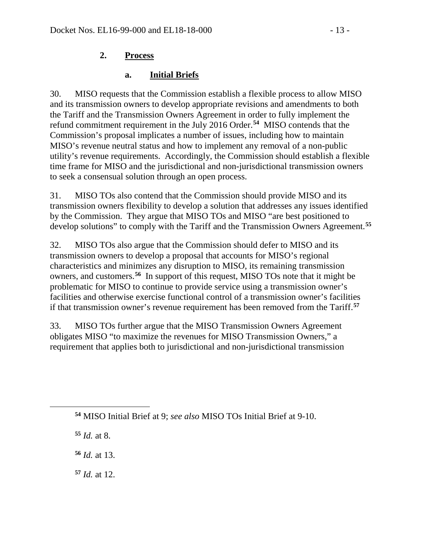### **2. Process**

### **a. Initial Briefs**

30. MISO requests that the Commission establish a flexible process to allow MISO and its transmission owners to develop appropriate revisions and amendments to both the Tariff and the Transmission Owners Agreement in order to fully implement the refund commitment requirement in the July 2016 Order. **[54](#page-12-0)** MISO contends that the Commission's proposal implicates a number of issues, including how to maintain MISO's revenue neutral status and how to implement any removal of a non-public utility's revenue requirements. Accordingly, the Commission should establish a flexible time frame for MISO and the jurisdictional and non-jurisdictional transmission owners to seek a consensual solution through an open process.

31. MISO TOs also contend that the Commission should provide MISO and its transmission owners flexibility to develop a solution that addresses any issues identified by the Commission. They argue that MISO TOs and MISO "are best positioned to develop solutions" to comply with the Tariff and the Transmission Owners Agreement.**[55](#page-12-1)**

32. MISO TOs also argue that the Commission should defer to MISO and its transmission owners to develop a proposal that accounts for MISO's regional characteristics and minimizes any disruption to MISO, its remaining transmission owners, and customers.**[56](#page-12-2)** In support of this request, MISO TOs note that it might be problematic for MISO to continue to provide service using a transmission owner's facilities and otherwise exercise functional control of a transmission owner's facilities if that transmission owner's revenue requirement has been removed from the Tariff.**[57](#page-12-3)**

33. MISO TOs further argue that the MISO Transmission Owners Agreement obligates MISO "to maximize the revenues for MISO Transmission Owners," a requirement that applies both to jurisdictional and non-jurisdictional transmission

**<sup>54</sup>** MISO Initial Brief at 9; *see also* MISO TOs Initial Brief at 9-10.

**<sup>55</sup>** *Id.* at 8.

<span id="page-12-2"></span><span id="page-12-1"></span><span id="page-12-0"></span> $\overline{a}$ 

**<sup>56</sup>** *Id.* at 13.

<span id="page-12-3"></span>**<sup>57</sup>** *Id.* at 12.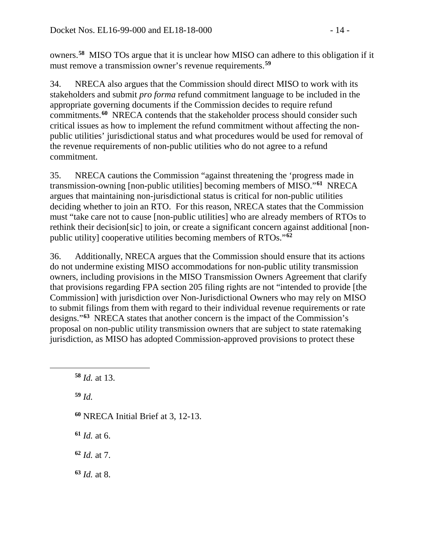owners.**[58](#page-13-0)** MISO TOs argue that it is unclear how MISO can adhere to this obligation if it must remove a transmission owner's revenue requirements.**[59](#page-13-1)**

34. NRECA also argues that the Commission should direct MISO to work with its stakeholders and submit *pro forma* refund commitment language to be included in the appropriate governing documents if the Commission decides to require refund commitments.**[60](#page-13-2)** NRECA contends that the stakeholder process should consider such critical issues as how to implement the refund commitment without affecting the nonpublic utilities' jurisdictional status and what procedures would be used for removal of the revenue requirements of non-public utilities who do not agree to a refund commitment.

35. NRECA cautions the Commission "against threatening the 'progress made in transmission-owning [non-public utilities] becoming members of MISO."**[61](#page-13-3)** NRECA argues that maintaining non-jurisdictional status is critical for non-public utilities deciding whether to join an RTO. For this reason, NRECA states that the Commission must "take care not to cause [non-public utilities] who are already members of RTOs to rethink their decision[sic] to join, or create a significant concern against additional [nonpublic utility] cooperative utilities becoming members of RTOs."**[62](#page-13-4)**

36. Additionally, NRECA argues that the Commission should ensure that its actions do not undermine existing MISO accommodations for non-public utility transmission owners, including provisions in the MISO Transmission Owners Agreement that clarify that provisions regarding FPA section 205 filing rights are not "intended to provide [the Commission] with jurisdiction over Non-Jurisdictional Owners who may rely on MISO to submit filings from them with regard to their individual revenue requirements or rate designs."**[63](#page-13-5)** NRECA states that another concern is the impact of the Commission's proposal on non-public utility transmission owners that are subject to state ratemaking jurisdiction, as MISO has adopted Commission-approved provisions to protect these

<span id="page-13-1"></span>**<sup>59</sup>** *Id.*

- <span id="page-13-2"></span>**<sup>60</sup>** NRECA Initial Brief at 3, 12-13.
- <span id="page-13-3"></span>**<sup>61</sup>** *Id.* at 6.
- <span id="page-13-4"></span>**<sup>62</sup>** *Id.* at 7.
- <span id="page-13-5"></span>**<sup>63</sup>** *Id.* at 8.

<span id="page-13-0"></span>**<sup>58</sup>** *Id.* at 13.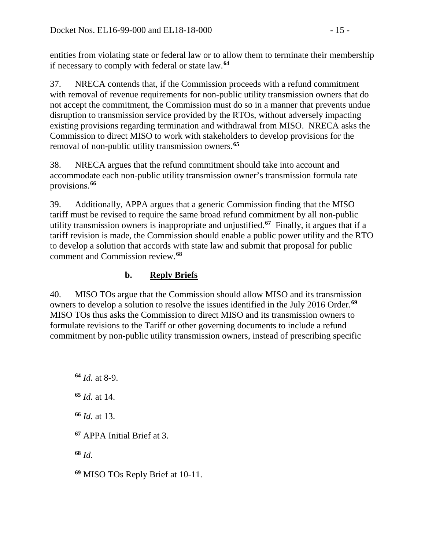entities from violating state or federal law or to allow them to terminate their membership if necessary to comply with federal or state law.**[64](#page-14-0)**

37. NRECA contends that, if the Commission proceeds with a refund commitment with removal of revenue requirements for non-public utility transmission owners that do not accept the commitment, the Commission must do so in a manner that prevents undue disruption to transmission service provided by the RTOs, without adversely impacting existing provisions regarding termination and withdrawal from MISO. NRECA asks the Commission to direct MISO to work with stakeholders to develop provisions for the removal of non-public utility transmission owners.**[65](#page-14-1)**

38. NRECA argues that the refund commitment should take into account and accommodate each non-public utility transmission owner's transmission formula rate provisions.**[66](#page-14-2)**

39. Additionally, APPA argues that a generic Commission finding that the MISO tariff must be revised to require the same broad refund commitment by all non-public utility transmission owners is inappropriate and unjustified.**[67](#page-14-3)** Finally, it argues that if a tariff revision is made, the Commission should enable a public power utility and the RTO to develop a solution that accords with state law and submit that proposal for public comment and Commission review.**[68](#page-14-4)**

# **b. Reply Briefs**

40. MISO TOs argue that the Commission should allow MISO and its transmission owners to develop a solution to resolve the issues identified in the July 2016 Order. **[69](#page-14-5)** MISO TOs thus asks the Commission to direct MISO and its transmission owners to formulate revisions to the Tariff or other governing documents to include a refund commitment by non-public utility transmission owners, instead of prescribing specific

<span id="page-14-2"></span><span id="page-14-1"></span><span id="page-14-0"></span> $\overline{a}$ 

**<sup>65</sup>** *Id.* at 14.

**<sup>66</sup>** *Id.* at 13.

<span id="page-14-3"></span>**<sup>67</sup>** APPA Initial Brief at 3.

<span id="page-14-4"></span>**<sup>68</sup>** *Id.*

<span id="page-14-5"></span>**<sup>69</sup>** MISO TOs Reply Brief at 10-11.

**<sup>64</sup>** *Id.* at 8-9.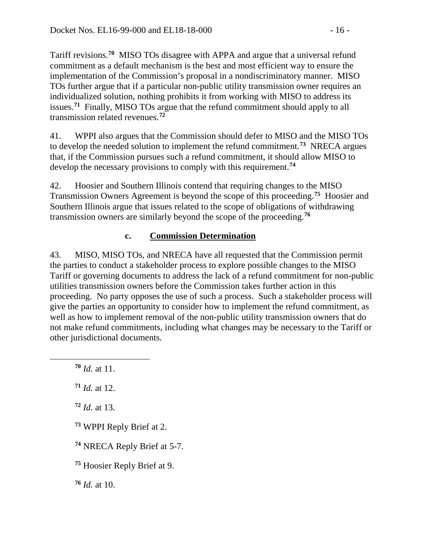Tariff revisions. **[70](#page-15-0)** MISO TOs disagree with APPA and argue that a universal refund commitment as a default mechanism is the best and most efficient way to ensure the implementation of the Commission's proposal in a nondiscriminatory manner. MISO TOs further argue that if a particular non-public utility transmission owner requires an individualized solution, nothing prohibits it from working with MISO to address its issues.**[71](#page-15-1)** Finally, MISO TOs argue that the refund commitment should apply to all transmission related revenues.**[72](#page-15-2)**

41. WPPI also argues that the Commission should defer to MISO and the MISO TOs to develop the needed solution to implement the refund commitment.**[73](#page-15-3)** NRECA argues that, if the Commission pursues such a refund commitment, it should allow MISO to develop the necessary provisions to comply with this requirement.**[74](#page-15-4)**

42. Hoosier and Southern Illinois contend that requiring changes to the MISO Transmission Owners Agreement is beyond the scope of this proceeding.**[75](#page-15-5)** Hoosier and Southern Illinois argue that issues related to the scope of obligations of withdrawing transmission owners are similarly beyond the scope of the proceeding.**[76](#page-15-6)**

## **c. Commission Determination**

43. MISO, MISO TOs, and NRECA have all requested that the Commission permit the parties to conduct a stakeholder process to explore possible changes to the MISO Tariff or governing documents to address the lack of a refund commitment for non-public utilities transmission owners before the Commission takes further action in this proceeding. No party opposes the use of such a process. Such a stakeholder process will give the parties an opportunity to consider how to implement the refund commitment, as well as how to implement removal of the non-public utility transmission owners that do not make refund commitments, including what changes may be necessary to the Tariff or other jurisdictional documents.

**<sup>70</sup>** *Id.* at 11.

<span id="page-15-2"></span><span id="page-15-1"></span><span id="page-15-0"></span> $\overline{a}$ 

**<sup>71</sup>** *Id.* at 12.

**<sup>72</sup>** *Id.* at 13.

<span id="page-15-3"></span>**<sup>73</sup>** WPPI Reply Brief at 2.

<span id="page-15-4"></span>**<sup>74</sup>** NRECA Reply Brief at 5-7.

<span id="page-15-5"></span>**<sup>75</sup>** Hoosier Reply Brief at 9.

<span id="page-15-6"></span>**<sup>76</sup>** *Id.* at 10.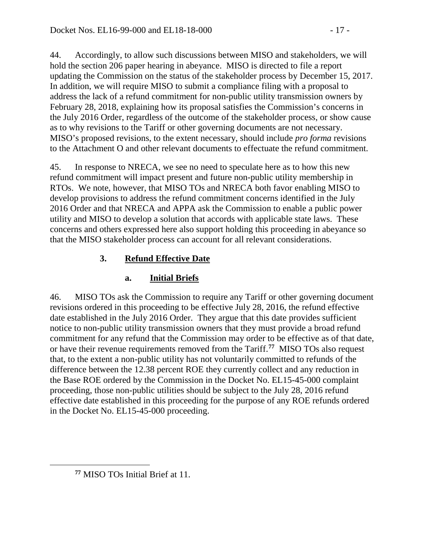44. Accordingly, to allow such discussions between MISO and stakeholders, we will hold the section 206 paper hearing in abeyance. MISO is directed to file a report updating the Commission on the status of the stakeholder process by December 15, 2017. In addition, we will require MISO to submit a compliance filing with a proposal to address the lack of a refund commitment for non-public utility transmission owners by February 28, 2018, explaining how its proposal satisfies the Commission's concerns in the July 2016 Order, regardless of the outcome of the stakeholder process, or show cause as to why revisions to the Tariff or other governing documents are not necessary. MISO's proposed revisions, to the extent necessary, should include *pro forma* revisions to the Attachment O and other relevant documents to effectuate the refund commitment.

45. In response to NRECA, we see no need to speculate here as to how this new refund commitment will impact present and future non-public utility membership in RTOs. We note, however, that MISO TOs and NRECA both favor enabling MISO to develop provisions to address the refund commitment concerns identified in the July 2016 Order and that NRECA and APPA ask the Commission to enable a public power utility and MISO to develop a solution that accords with applicable state laws. These concerns and others expressed here also support holding this proceeding in abeyance so that the MISO stakeholder process can account for all relevant considerations.

# **3. Refund Effective Date**

# **a. Initial Briefs**

46. MISO TOs ask the Commission to require any Tariff or other governing document revisions ordered in this proceeding to be effective July 28, 2016, the refund effective date established in the July 2016 Order. They argue that this date provides sufficient notice to non-public utility transmission owners that they must provide a broad refund commitment for any refund that the Commission may order to be effective as of that date, or have their revenue requirements removed from the Tariff.**[77](#page-16-0)** MISO TOs also request that, to the extent a non-public utility has not voluntarily committed to refunds of the difference between the 12.38 percent ROE they currently collect and any reduction in the Base ROE ordered by the Commission in the Docket No. EL15-45-000 complaint proceeding, those non-public utilities should be subject to the July 28, 2016 refund effective date established in this proceeding for the purpose of any ROE refunds ordered in the Docket No. EL15-45-000 proceeding.

<span id="page-16-0"></span>**<sup>77</sup>** MISO TOs Initial Brief at 11.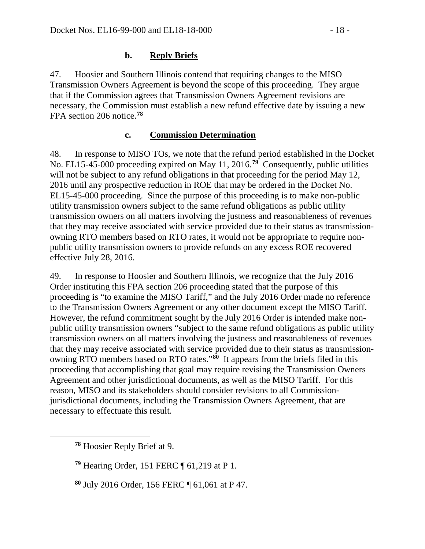#### **b. Reply Briefs**

47. Hoosier and Southern Illinois contend that requiring changes to the MISO Transmission Owners Agreement is beyond the scope of this proceeding. They argue that if the Commission agrees that Transmission Owners Agreement revisions are necessary, the Commission must establish a new refund effective date by issuing a new FPA section 206 notice.**[78](#page-17-0)**

#### **c. Commission Determination**

48. In response to MISO TOs, we note that the refund period established in the Docket No. EL15-45-000 proceeding expired on May 11, 2016.**[79](#page-17-1)** Consequently, public utilities will not be subject to any refund obligations in that proceeding for the period May 12, 2016 until any prospective reduction in ROE that may be ordered in the Docket No. EL15-45-000 proceeding. Since the purpose of this proceeding is to make non-public utility transmission owners subject to the same refund obligations as public utility transmission owners on all matters involving the justness and reasonableness of revenues that they may receive associated with service provided due to their status as transmissionowning RTO members based on RTO rates, it would not be appropriate to require nonpublic utility transmission owners to provide refunds on any excess ROE recovered effective July 28, 2016.

49. In response to Hoosier and Southern Illinois, we recognize that the July 2016 Order instituting this FPA section 206 proceeding stated that the purpose of this proceeding is "to examine the MISO Tariff," and the July 2016 Order made no reference to the Transmission Owners Agreement or any other document except the MISO Tariff. However, the refund commitment sought by the July 2016 Order is intended make nonpublic utility transmission owners "subject to the same refund obligations as public utility transmission owners on all matters involving the justness and reasonableness of revenues that they may receive associated with service provided due to their status as transmissionowning RTO members based on RTO rates."**[80](#page-17-2)** It appears from the briefs filed in this proceeding that accomplishing that goal may require revising the Transmission Owners Agreement and other jurisdictional documents, as well as the MISO Tariff. For this reason, MISO and its stakeholders should consider revisions to all Commissionjurisdictional documents, including the Transmission Owners Agreement, that are necessary to effectuate this result.

**<sup>78</sup>** Hoosier Reply Brief at 9.

<span id="page-17-2"></span><span id="page-17-1"></span><span id="page-17-0"></span> $\overline{a}$ 

**<sup>79</sup>** Hearing Order, 151 FERC ¶ 61,219 at P 1.

**<sup>80</sup>** July 2016 Order, 156 FERC ¶ 61,061 at P 47.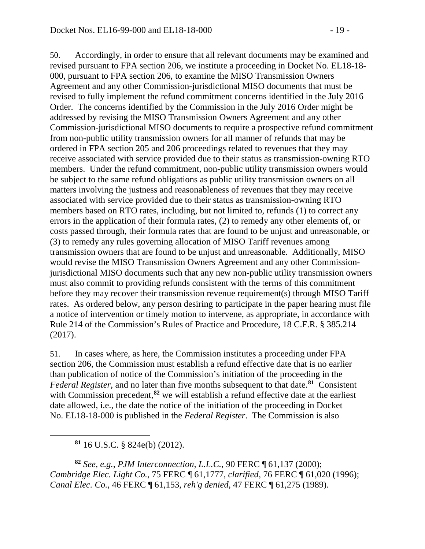50. Accordingly, in order to ensure that all relevant documents may be examined and revised pursuant to FPA section 206, we institute a proceeding in Docket No. EL18-18- 000, pursuant to FPA section 206, to examine the MISO Transmission Owners Agreement and any other Commission-jurisdictional MISO documents that must be revised to fully implement the refund commitment concerns identified in the July 2016 Order. The concerns identified by the Commission in the July 2016 Order might be addressed by revising the MISO Transmission Owners Agreement and any other Commission-jurisdictional MISO documents to require a prospective refund commitment from non-public utility transmission owners for all manner of refunds that may be ordered in FPA section 205 and 206 proceedings related to revenues that they may receive associated with service provided due to their status as transmission-owning RTO members. Under the refund commitment, non-public utility transmission owners would be subject to the same refund obligations as public utility transmission owners on all matters involving the justness and reasonableness of revenues that they may receive associated with service provided due to their status as transmission-owning RTO members based on RTO rates, including, but not limited to, refunds (1) to correct any errors in the application of their formula rates, (2) to remedy any other elements of, or costs passed through, their formula rates that are found to be unjust and unreasonable, or (3) to remedy any rules governing allocation of MISO Tariff revenues among transmission owners that are found to be unjust and unreasonable. Additionally, MISO would revise the MISO Transmission Owners Agreement and any other Commissionjurisdictional MISO documents such that any new non-public utility transmission owners must also commit to providing refunds consistent with the terms of this commitment before they may recover their transmission revenue requirement(s) through MISO Tariff rates. As ordered below, any person desiring to participate in the paper hearing must file a notice of intervention or timely motion to intervene, as appropriate, in accordance with Rule 214 of the Commission's Rules of Practice and Procedure, 18 C.F.R. § 385.214 (2017).

51. In cases where, as here, the Commission institutes a proceeding under FPA section 206, the Commission must establish a refund effective date that is no earlier than publication of notice of the Commission's initiation of the proceeding in the *Federal Register*, and no later than five months subsequent to that date.**[81](#page-18-0)** Consistent with Commission precedent,<sup>[82](#page-18-1)</sup> we will establish a refund effective date at the earliest date allowed, i.e., the date the notice of the initiation of the proceeding in Docket No. EL18-18-000 is published in the *Federal Register*. The Commission is also

**<sup>81</sup>** 16 U.S.C. § 824e(b) (2012).

<span id="page-18-0"></span> $\overline{a}$ 

<span id="page-18-1"></span>**<sup>82</sup>** *See, e.g., PJM Interconnection, L.L.C.*, 90 FERC ¶ 61,137 (2000); *Cambridge Elec. Light Co.*, 75 FERC ¶ 61,1777, *clarified*, 76 FERC ¶ 61,020 (1996); *Canal Elec. Co.*, 46 FERC ¶ 61,153, *reh'g denied*, 47 FERC ¶ 61,275 (1989).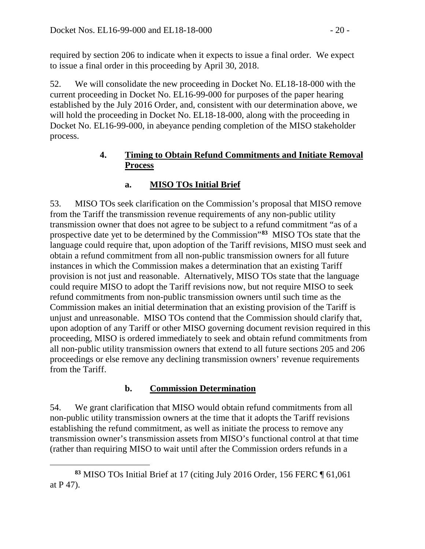required by section 206 to indicate when it expects to issue a final order. We expect to issue a final order in this proceeding by April 30, 2018.

52. We will consolidate the new proceeding in Docket No. EL18-18-000 with the current proceeding in Docket No. EL16-99-000 for purposes of the paper hearing established by the July 2016 Order, and, consistent with our determination above, we will hold the proceeding in Docket No. EL18-18-000, along with the proceeding in Docket No. EL16-99-000, in abeyance pending completion of the MISO stakeholder process.

### **4. Timing to Obtain Refund Commitments and Initiate Removal Process**

### **a. MISO TOs Initial Brief**

53. MISO TOs seek clarification on the Commission's proposal that MISO remove from the Tariff the transmission revenue requirements of any non-public utility transmission owner that does not agree to be subject to a refund commitment "as of a prospective date yet to be determined by the Commission"**[83](#page-19-0)** MISO TOs state that the language could require that, upon adoption of the Tariff revisions, MISO must seek and obtain a refund commitment from all non-public transmission owners for all future instances in which the Commission makes a determination that an existing Tariff provision is not just and reasonable. Alternatively, MISO TOs state that the language could require MISO to adopt the Tariff revisions now, but not require MISO to seek refund commitments from non-public transmission owners until such time as the Commission makes an initial determination that an existing provision of the Tariff is unjust and unreasonable. MISO TOs contend that the Commission should clarify that, upon adoption of any Tariff or other MISO governing document revision required in this proceeding, MISO is ordered immediately to seek and obtain refund commitments from all non-public utility transmission owners that extend to all future sections 205 and 206 proceedings or else remove any declining transmission owners' revenue requirements from the Tariff.

### **b. Commission Determination**

54. We grant clarification that MISO would obtain refund commitments from all non-public utility transmission owners at the time that it adopts the Tariff revisions establishing the refund commitment, as well as initiate the process to remove any transmission owner's transmission assets from MISO's functional control at that time (rather than requiring MISO to wait until after the Commission orders refunds in a

<span id="page-19-0"></span>**<sup>83</sup>** MISO TOs Initial Brief at 17 (citing July 2016 Order, 156 FERC ¶ 61,061 at P 47).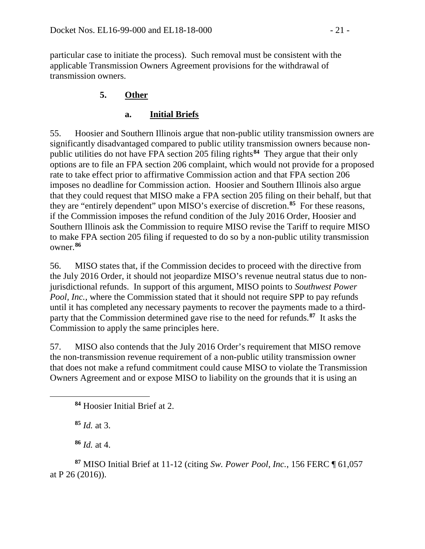particular case to initiate the process). Such removal must be consistent with the applicable Transmission Owners Agreement provisions for the withdrawal of transmission owners.

### **5. Other**

### **a. Initial Briefs**

55. Hoosier and Southern Illinois argue that non-public utility transmission owners are significantly disadvantaged compared to public utility transmission owners because nonpublic utilities do not have FPA section 205 filing rights**[84](#page-20-0)** They argue that their only options are to file an FPA section 206 complaint, which would not provide for a proposed rate to take effect prior to affirmative Commission action and that FPA section 206 imposes no deadline for Commission action. Hoosier and Southern Illinois also argue that they could request that MISO make a FPA section 205 filing on their behalf, but that they are "entirely dependent" upon MISO's exercise of discretion.**[85](#page-20-1)** For these reasons, if the Commission imposes the refund condition of the July 2016 Order, Hoosier and Southern Illinois ask the Commission to require MISO revise the Tariff to require MISO to make FPA section 205 filing if requested to do so by a non-public utility transmission owner.**[86](#page-20-2)**

56. MISO states that, if the Commission decides to proceed with the directive from the July 2016 Order, it should not jeopardize MISO's revenue neutral status due to nonjurisdictional refunds. In support of this argument, MISO points to *Southwest Power Pool, Inc.*, where the Commission stated that it should not require SPP to pay refunds until it has completed any necessary payments to recover the payments made to a thirdparty that the Commission determined gave rise to the need for refunds.**[87](#page-20-3)** It asks the Commission to apply the same principles here.

57. MISO also contends that the July 2016 Order's requirement that MISO remove the non-transmission revenue requirement of a non-public utility transmission owner that does not make a refund commitment could cause MISO to violate the Transmission Owners Agreement and or expose MISO to liability on the grounds that it is using an

**<sup>85</sup>** *Id.* at 3.

<span id="page-20-1"></span><span id="page-20-0"></span> $\overline{a}$ 

**<sup>86</sup>** *Id.* at 4.

<span id="page-20-3"></span><span id="page-20-2"></span>**<sup>87</sup>** MISO Initial Brief at 11-12 (citing *Sw. Power Pool, Inc.*, 156 FERC ¶ 61,057 at P 26 (2016)).

**<sup>84</sup>** Hoosier Initial Brief at 2.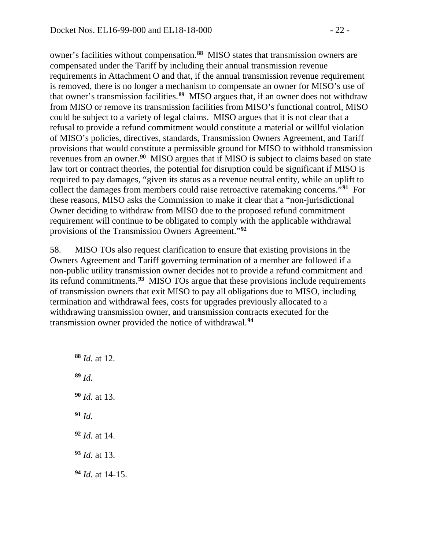owner's facilities without compensation.**[88](#page-21-0)** MISO states that transmission owners are compensated under the Tariff by including their annual transmission revenue requirements in Attachment O and that, if the annual transmission revenue requirement is removed, there is no longer a mechanism to compensate an owner for MISO's use of that owner's transmission facilities.**[89](#page-21-1)** MISO argues that, if an owner does not withdraw from MISO or remove its transmission facilities from MISO's functional control, MISO could be subject to a variety of legal claims. MISO argues that it is not clear that a refusal to provide a refund commitment would constitute a material or willful violation of MISO's policies, directives, standards, Transmission Owners Agreement, and Tariff provisions that would constitute a permissible ground for MISO to withhold transmission revenues from an owner.**[90](#page-21-2)** MISO argues that if MISO is subject to claims based on state law tort or contract theories, the potential for disruption could be significant if MISO is required to pay damages, "given its status as a revenue neutral entity, while an uplift to collect the damages from members could raise retroactive ratemaking concerns."**[91](#page-21-3)** For these reasons, MISO asks the Commission to make it clear that a "non-jurisdictional Owner deciding to withdraw from MISO due to the proposed refund commitment requirement will continue to be obligated to comply with the applicable withdrawal provisions of the Transmission Owners Agreement."**[92](#page-21-4)**

58. MISO TOs also request clarification to ensure that existing provisions in the Owners Agreement and Tariff governing termination of a member are followed if a non-public utility transmission owner decides not to provide a refund commitment and its refund commitments.**[93](#page-21-5)** MISO TOs argue that these provisions include requirements of transmission owners that exit MISO to pay all obligations due to MISO, including termination and withdrawal fees, costs for upgrades previously allocated to a withdrawing transmission owner, and transmission contracts executed for the transmission owner provided the notice of withdrawal.**[94](#page-21-6)**

<span id="page-21-6"></span><span id="page-21-5"></span><span id="page-21-4"></span><span id="page-21-3"></span><span id="page-21-2"></span><span id="page-21-1"></span><span id="page-21-0"></span> *Id.* at 12. **<sup>89</sup>** *Id. Id.* at 13. **<sup>91</sup>** *Id. Id.* at 14. *Id.* at 13. *Id.* at 14-15.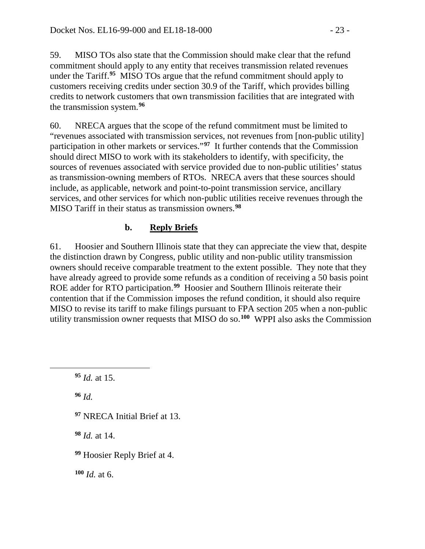59. MISO TOs also state that the Commission should make clear that the refund commitment should apply to any entity that receives transmission related revenues under the Tariff.**[95](#page-22-0)** MISO TOs argue that the refund commitment should apply to customers receiving credits under section 30.9 of the Tariff, which provides billing credits to network customers that own transmission facilities that are integrated with the transmission system.**[96](#page-22-1)**

60. NRECA argues that the scope of the refund commitment must be limited to "revenues associated with transmission services, not revenues from [non-public utility] participation in other markets or services."**[97](#page-22-2)** It further contends that the Commission should direct MISO to work with its stakeholders to identify, with specificity, the sources of revenues associated with service provided due to non-public utilities' status as transmission-owning members of RTOs. NRECA avers that these sources should include, as applicable, network and point-to-point transmission service, ancillary services, and other services for which non-public utilities receive revenues through the MISO Tariff in their status as transmission owners.**[98](#page-22-3)**

## **b. Reply Briefs**

61. Hoosier and Southern Illinois state that they can appreciate the view that, despite the distinction drawn by Congress, public utility and non-public utility transmission owners should receive comparable treatment to the extent possible. They note that they have already agreed to provide some refunds as a condition of receiving a 50 basis point ROE adder for RTO participation.**[99](#page-22-4)** Hoosier and Southern Illinois reiterate their contention that if the Commission imposes the refund condition, it should also require MISO to revise its tariff to make filings pursuant to FPA section 205 when a non-public utility transmission owner requests that MISO do so.**[100](#page-22-5)** WPPI also asks the Commission

**<sup>96</sup>** *Id.*

<span id="page-22-2"></span><span id="page-22-1"></span><span id="page-22-0"></span> $\overline{a}$ 

**<sup>97</sup>** NRECA Initial Brief at 13.

<span id="page-22-3"></span>**<sup>98</sup>** *Id.* at 14.

<span id="page-22-4"></span>**<sup>99</sup>** Hoosier Reply Brief at 4.

<span id="page-22-5"></span>**<sup>100</sup>** *Id.* at 6.

**<sup>95</sup>** *Id.* at 15.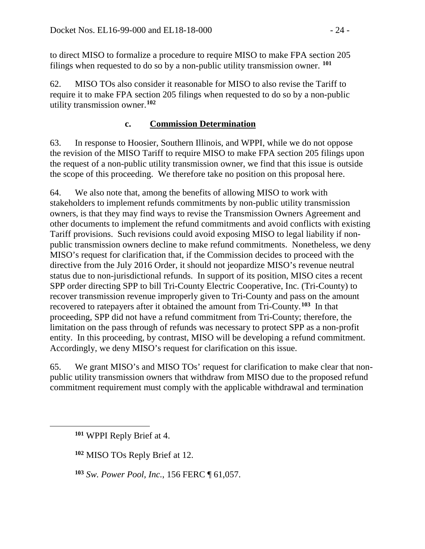to direct MISO to formalize a procedure to require MISO to make FPA section 205 filings when requested to do so by a non-public utility transmission owner. **[101](#page-23-0)**

62. MISO TOs also consider it reasonable for MISO to also revise the Tariff to require it to make FPA section 205 filings when requested to do so by a non-public utility transmission owner.**[102](#page-23-1)**

#### **c. Commission Determination**

63. In response to Hoosier, Southern Illinois, and WPPI, while we do not oppose the revision of the MISO Tariff to require MISO to make FPA section 205 filings upon the request of a non-public utility transmission owner, we find that this issue is outside the scope of this proceeding. We therefore take no position on this proposal here.

64. We also note that, among the benefits of allowing MISO to work with stakeholders to implement refunds commitments by non-public utility transmission owners, is that they may find ways to revise the Transmission Owners Agreement and other documents to implement the refund commitments and avoid conflicts with existing Tariff provisions. Such revisions could avoid exposing MISO to legal liability if nonpublic transmission owners decline to make refund commitments. Nonetheless, we deny MISO's request for clarification that, if the Commission decides to proceed with the directive from the July 2016 Order, it should not jeopardize MISO's revenue neutral status due to non-jurisdictional refunds. In support of its position, MISO cites a recent SPP order directing SPP to bill Tri-County Electric Cooperative, Inc. (Tri-County) to recover transmission revenue improperly given to Tri-County and pass on the amount recovered to ratepayers after it obtained the amount from Tri-County.**[103](#page-23-2)** In that proceeding, SPP did not have a refund commitment from Tri-County; therefore, the limitation on the pass through of refunds was necessary to protect SPP as a non-profit entity. In this proceeding, by contrast, MISO will be developing a refund commitment. Accordingly, we deny MISO's request for clarification on this issue.

65. We grant MISO's and MISO TOs' request for clarification to make clear that nonpublic utility transmission owners that withdraw from MISO due to the proposed refund commitment requirement must comply with the applicable withdrawal and termination

<span id="page-23-0"></span>**<sup>101</sup>** WPPI Reply Brief at 4.

<span id="page-23-1"></span>**<sup>102</sup>** MISO TOs Reply Brief at 12.

<span id="page-23-2"></span>**<sup>103</sup>** *Sw. Power Pool, Inc.*, 156 FERC ¶ 61,057.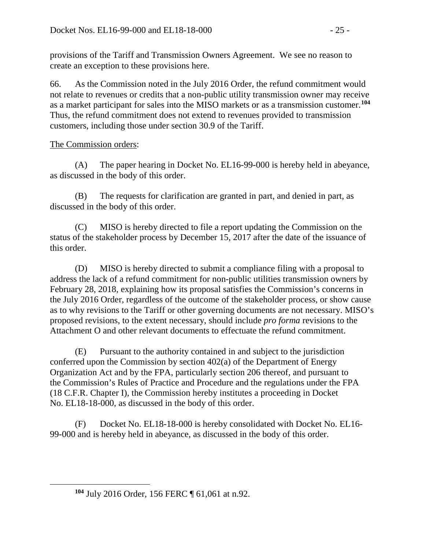provisions of the Tariff and Transmission Owners Agreement. We see no reason to create an exception to these provisions here.

66. As the Commission noted in the July 2016 Order, the refund commitment would not relate to revenues or credits that a non-public utility transmission owner may receive as a market participant for sales into the MISO markets or as a transmission customer. **[104](#page-24-0)** Thus, the refund commitment does not extend to revenues provided to transmission customers, including those under section 30.9 of the Tariff.

### The Commission orders:

<span id="page-24-0"></span> $\overline{a}$ 

(A) The paper hearing in Docket No. EL16-99-000 is hereby held in abeyance, as discussed in the body of this order.

(B) The requests for clarification are granted in part, and denied in part, as discussed in the body of this order.

(C) MISO is hereby directed to file a report updating the Commission on the status of the stakeholder process by December 15, 2017 after the date of the issuance of this order.

(D) MISO is hereby directed to submit a compliance filing with a proposal to address the lack of a refund commitment for non-public utilities transmission owners by February 28, 2018, explaining how its proposal satisfies the Commission's concerns in the July 2016 Order, regardless of the outcome of the stakeholder process, or show cause as to why revisions to the Tariff or other governing documents are not necessary. MISO's proposed revisions, to the extent necessary, should include *pro forma* revisions to the Attachment O and other relevant documents to effectuate the refund commitment.

(E) Pursuant to the authority contained in and subject to the jurisdiction conferred upon the Commission by section 402(a) of the Department of Energy Organization Act and by the FPA, particularly section 206 thereof, and pursuant to the Commission's Rules of Practice and Procedure and the regulations under the FPA (18 C.F.R. Chapter I), the Commission hereby institutes a proceeding in Docket No. EL18-18-000, as discussed in the body of this order.

(F) Docket No. EL18-18-000 is hereby consolidated with Docket No. EL16- 99-000 and is hereby held in abeyance, as discussed in the body of this order.

**<sup>104</sup>** July 2016 Order, 156 FERC ¶ 61,061 at n.92.